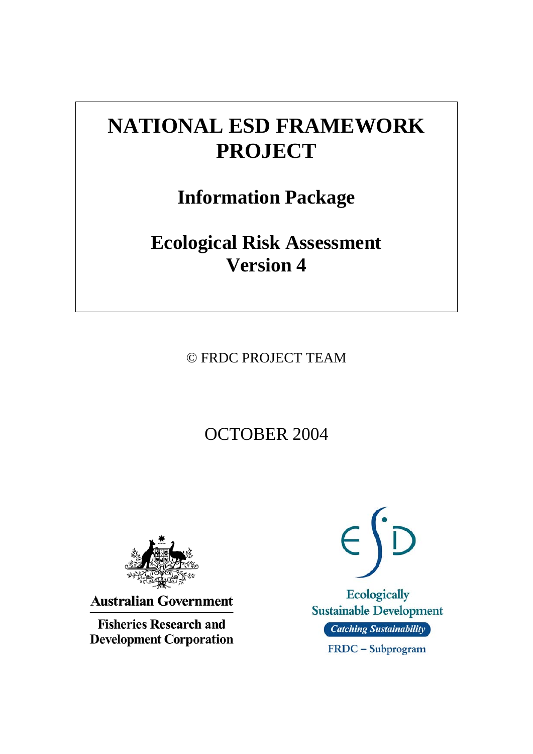# **NATIONAL ESD FRAMEWORK PROJECT**

**Information Package** 

**Ecological Risk Assessment Version 4** 

© FRDC PROJECT TEAM

OCTOBER 2004



**Australian Government** 

**Fisheries Research and Development Corporation** 

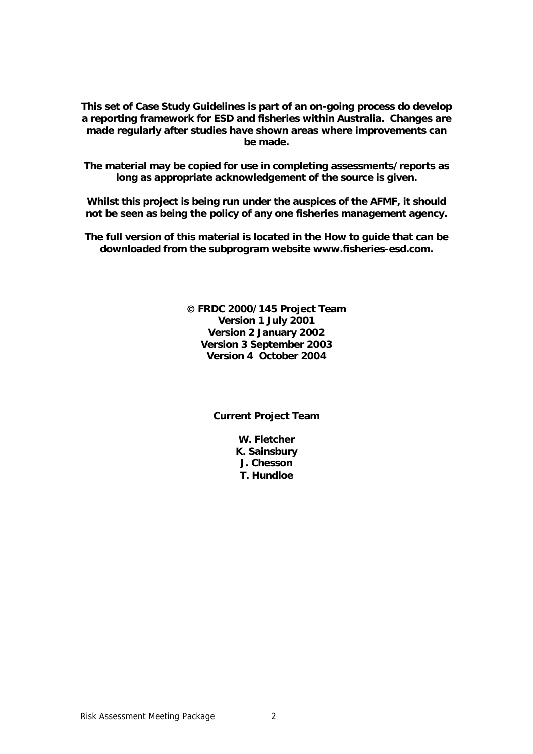**This set of Case Study Guidelines is part of an on-going process do develop a reporting framework for ESD and fisheries within Australia. Changes are made regularly after studies have shown areas where improvements can be made.** 

**The material may be copied for use in completing assessments/reports as long as appropriate acknowledgement of the source is given.** 

**Whilst this project is being run under the auspices of the AFMF, it should not be seen as being the policy of any one fisheries management agency.** 

**The full version of this material is located in the How to guide that can be downloaded from the subprogram website www.fisheries-esd.com.** 

> © **FRDC 2000/145 Project Team Version 1 July 2001 Version 2 January 2002 Version 3 September 2003 Version 4 October 2004**

> > **Current Project Team**

**W. Fletcher K. Sainsbury J. Chesson T. Hundloe**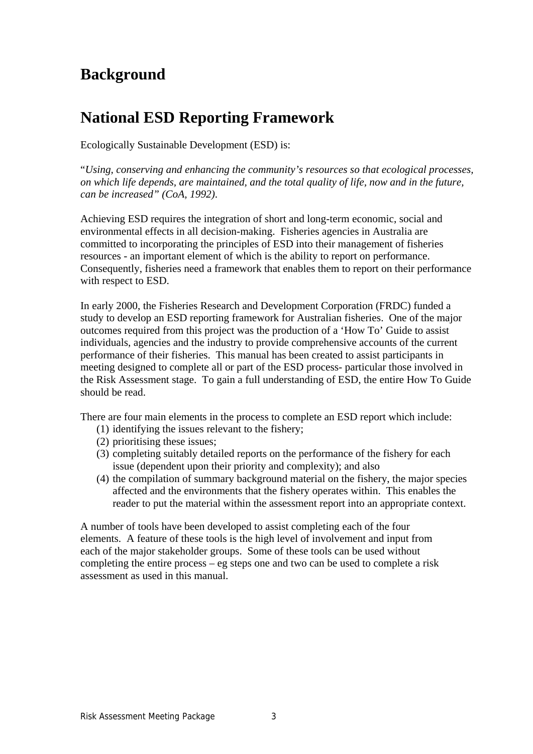# **Background**

# **National ESD Reporting Framework**

Ecologically Sustainable Development (ESD) is:

"*Using, conserving and enhancing the community's resources so that ecological processes, on which life depends, are maintained, and the total quality of life, now and in the future, can be increased" (CoA, 1992)*.

Achieving ESD requires the integration of short and long-term economic, social and environmental effects in all decision-making. Fisheries agencies in Australia are committed to incorporating the principles of ESD into their management of fisheries resources - an important element of which is the ability to report on performance. Consequently, fisheries need a framework that enables them to report on their performance with respect to ESD.

In early 2000, the Fisheries Research and Development Corporation (FRDC) funded a study to develop an ESD reporting framework for Australian fisheries. One of the major outcomes required from this project was the production of a 'How To' Guide to assist individuals, agencies and the industry to provide comprehensive accounts of the current performance of their fisheries. This manual has been created to assist participants in meeting designed to complete all or part of the ESD process- particular those involved in the Risk Assessment stage. To gain a full understanding of ESD, the entire How To Guide should be read.

There are four main elements in the process to complete an ESD report which include:

- (1) identifying the issues relevant to the fishery;
- (2) prioritising these issues;
- (3) completing suitably detailed reports on the performance of the fishery for each issue (dependent upon their priority and complexity); and also
- (4) the compilation of summary background material on the fishery, the major species affected and the environments that the fishery operates within. This enables the reader to put the material within the assessment report into an appropriate context.

A number of tools have been developed to assist completing each of the four elements. A feature of these tools is the high level of involvement and input from each of the major stakeholder groups. Some of these tools can be used without completing the entire process – eg steps one and two can be used to complete a risk assessment as used in this manual.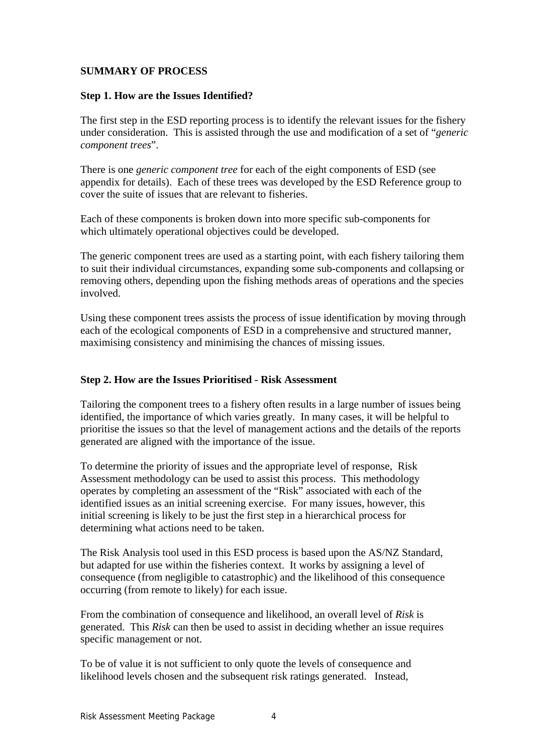### **SUMMARY OF PROCESS**

#### **Step 1. How are the Issues Identified?**

The first step in the ESD reporting process is to identify the relevant issues for the fishery under consideration. This is assisted through the use and modification of a set of "*generic component trees*".

There is one *generic component tree* for each of the eight components of ESD (see appendix for details). Each of these trees was developed by the ESD Reference group to cover the suite of issues that are relevant to fisheries.

Each of these components is broken down into more specific sub-components for which ultimately operational objectives could be developed.

The generic component trees are used as a starting point, with each fishery tailoring them to suit their individual circumstances, expanding some sub-components and collapsing or removing others, depending upon the fishing methods areas of operations and the species involved.

Using these component trees assists the process of issue identification by moving through each of the ecological components of ESD in a comprehensive and structured manner, maximising consistency and minimising the chances of missing issues.

#### **Step 2. How are the Issues Prioritised - Risk Assessment**

Tailoring the component trees to a fishery often results in a large number of issues being identified, the importance of which varies greatly. In many cases, it will be helpful to prioritise the issues so that the level of management actions and the details of the reports generated are aligned with the importance of the issue.

To determine the priority of issues and the appropriate level of response, Risk Assessment methodology can be used to assist this process. This methodology operates by completing an assessment of the "Risk" associated with each of the identified issues as an initial screening exercise. For many issues, however, this initial screening is likely to be just the first step in a hierarchical process for determining what actions need to be taken.

The Risk Analysis tool used in this ESD process is based upon the AS/NZ Standard, but adapted for use within the fisheries context. It works by assigning a level of consequence (from negligible to catastrophic) and the likelihood of this consequence occurring (from remote to likely) for each issue.

From the combination of consequence and likelihood, an overall level of *Risk* is generated. This *Risk* can then be used to assist in deciding whether an issue requires specific management or not.

To be of value it is not sufficient to only quote the levels of consequence and likelihood levels chosen and the subsequent risk ratings generated. Instead,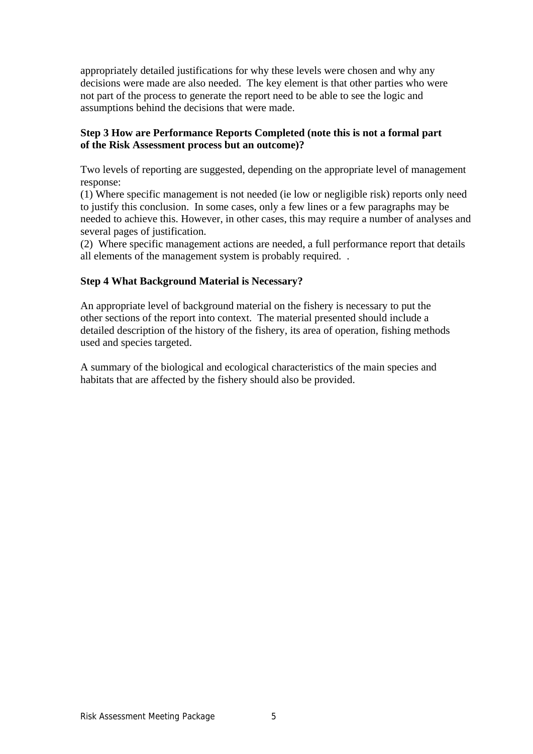appropriately detailed justifications for why these levels were chosen and why any decisions were made are also needed. The key element is that other parties who were not part of the process to generate the report need to be able to see the logic and assumptions behind the decisions that were made.

#### **Step 3 How are Performance Reports Completed (note this is not a formal part of the Risk Assessment process but an outcome)?**

Two levels of reporting are suggested, depending on the appropriate level of management response:

(1) Where specific management is not needed (ie low or negligible risk) reports only need to justify this conclusion. In some cases, only a few lines or a few paragraphs may be needed to achieve this. However, in other cases, this may require a number of analyses and several pages of justification.

(2) Where specific management actions are needed, a full performance report that details all elements of the management system is probably required. .

### **Step 4 What Background Material is Necessary?**

An appropriate level of background material on the fishery is necessary to put the other sections of the report into context. The material presented should include a detailed description of the history of the fishery, its area of operation, fishing methods used and species targeted.

A summary of the biological and ecological characteristics of the main species and habitats that are affected by the fishery should also be provided.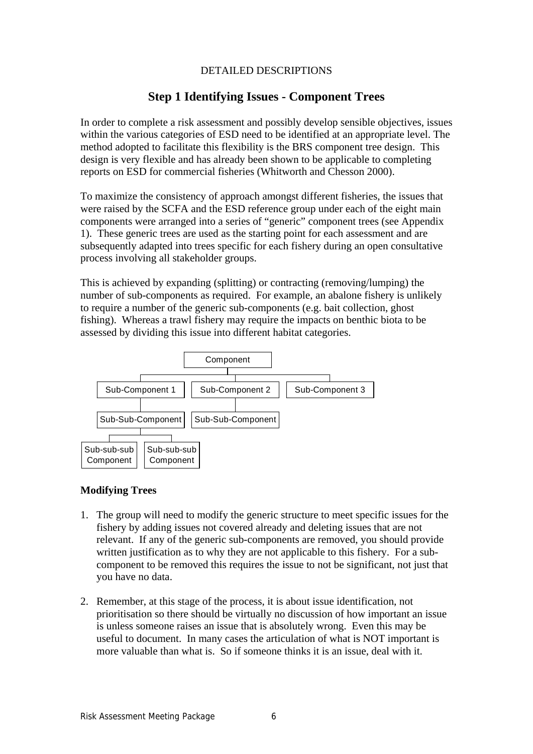### DETAILED DESCRIPTIONS

# **Step 1 Identifying Issues - Component Trees**

In order to complete a risk assessment and possibly develop sensible objectives, issues within the various categories of ESD need to be identified at an appropriate level. The method adopted to facilitate this flexibility is the BRS component tree design. This design is very flexible and has already been shown to be applicable to completing reports on ESD for commercial fisheries (Whitworth and Chesson 2000).

To maximize the consistency of approach amongst different fisheries, the issues that were raised by the SCFA and the ESD reference group under each of the eight main components were arranged into a series of "generic" component trees (see Appendix 1). These generic trees are used as the starting point for each assessment and are subsequently adapted into trees specific for each fishery during an open consultative process involving all stakeholder groups.

This is achieved by expanding (splitting) or contracting (removing/lumping) the number of sub-components as required. For example, an abalone fishery is unlikely to require a number of the generic sub-components (e.g. bait collection, ghost fishing). Whereas a trawl fishery may require the impacts on benthic biota to be assessed by dividing this issue into different habitat categories.



#### **Modifying Trees**

- 1. The group will need to modify the generic structure to meet specific issues for the fishery by adding issues not covered already and deleting issues that are not relevant. If any of the generic sub-components are removed, you should provide written justification as to why they are not applicable to this fishery. For a subcomponent to be removed this requires the issue to not be significant, not just that you have no data.
- 2. Remember, at this stage of the process, it is about issue identification, not prioritisation so there should be virtually no discussion of how important an issue is unless someone raises an issue that is absolutely wrong. Even this may be useful to document. In many cases the articulation of what is NOT important is more valuable than what is. So if someone thinks it is an issue, deal with it.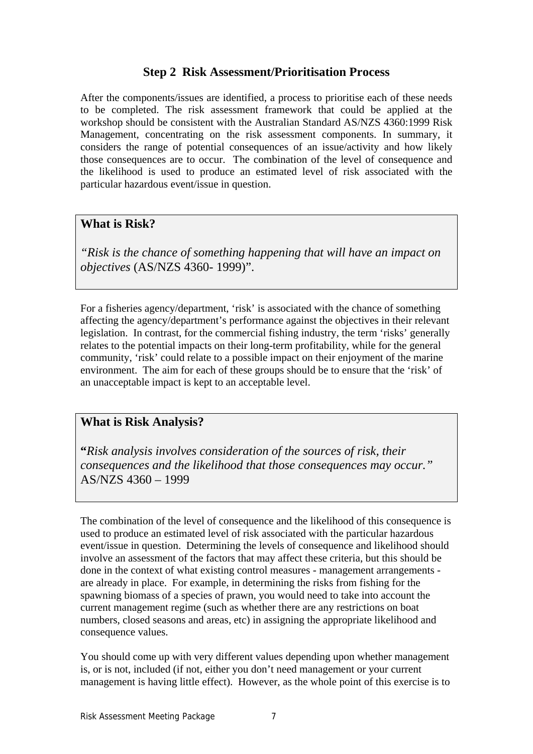# **Step 2 Risk Assessment/Prioritisation Process**

After the components/issues are identified, a process to prioritise each of these needs to be completed. The risk assessment framework that could be applied at the workshop should be consistent with the Australian Standard AS/NZS 4360:1999 Risk Management, concentrating on the risk assessment components. In summary, it considers the range of potential consequences of an issue/activity and how likely those consequences are to occur. The combination of the level of consequence and the likelihood is used to produce an estimated level of risk associated with the particular hazardous event/issue in question.

# **What is Risk?**

*"Risk is the chance of something happening that will have an impact on objectives* (AS/NZS 4360- 1999)".

For a fisheries agency/department, 'risk' is associated with the chance of something affecting the agency/department's performance against the objectives in their relevant legislation. In contrast, for the commercial fishing industry, the term 'risks' generally relates to the potential impacts on their long-term profitability, while for the general community, 'risk' could relate to a possible impact on their enjoyment of the marine environment. The aim for each of these groups should be to ensure that the 'risk' of an unacceptable impact is kept to an acceptable level.

# **What is Risk Analysis?**

**"***Risk analysis involves consideration of the sources of risk, their consequences and the likelihood that those consequences may occur."*  AS/NZS 4360 – 1999

The combination of the level of consequence and the likelihood of this consequence is used to produce an estimated level of risk associated with the particular hazardous event/issue in question. Determining the levels of consequence and likelihood should involve an assessment of the factors that may affect these criteria, but this should be done in the context of what existing control measures - management arrangements are already in place. For example, in determining the risks from fishing for the spawning biomass of a species of prawn, you would need to take into account the current management regime (such as whether there are any restrictions on boat numbers, closed seasons and areas, etc) in assigning the appropriate likelihood and consequence values.

You should come up with very different values depending upon whether management is, or is not, included (if not, either you don't need management or your current management is having little effect). However, as the whole point of this exercise is to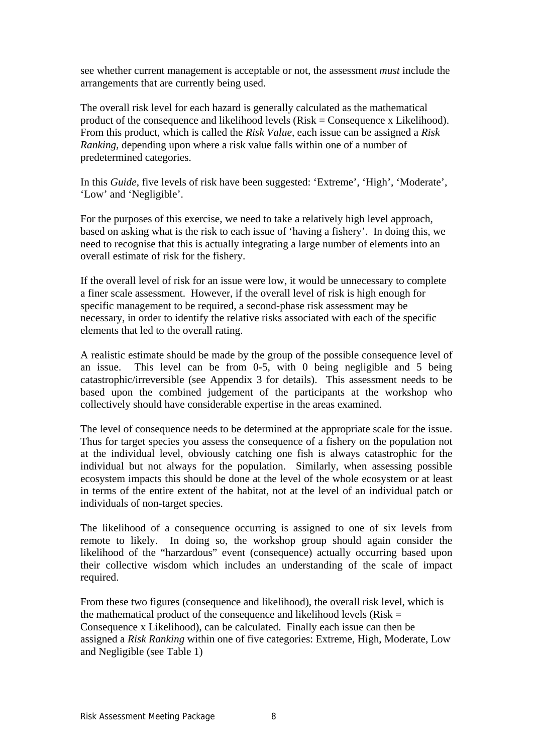see whether current management is acceptable or not, the assessment *must* include the arrangements that are currently being used.

The overall risk level for each hazard is generally calculated as the mathematical product of the consequence and likelihood levels (Risk = Consequence x Likelihood). From this product, which is called the *Risk Value*, each issue can be assigned a *Risk Ranking,* depending upon where a risk value falls within one of a number of predetermined categories.

In this *Guide*, five levels of risk have been suggested: 'Extreme', 'High', 'Moderate', 'Low' and 'Negligible'.

For the purposes of this exercise, we need to take a relatively high level approach, based on asking what is the risk to each issue of 'having a fishery'. In doing this, we need to recognise that this is actually integrating a large number of elements into an overall estimate of risk for the fishery.

If the overall level of risk for an issue were low, it would be unnecessary to complete a finer scale assessment. However, if the overall level of risk is high enough for specific management to be required, a second-phase risk assessment may be necessary, in order to identify the relative risks associated with each of the specific elements that led to the overall rating.

A realistic estimate should be made by the group of the possible consequence level of an issue. This level can be from 0-5, with 0 being negligible and 5 being catastrophic/irreversible (see Appendix 3 for details). This assessment needs to be based upon the combined judgement of the participants at the workshop who collectively should have considerable expertise in the areas examined.

The level of consequence needs to be determined at the appropriate scale for the issue. Thus for target species you assess the consequence of a fishery on the population not at the individual level, obviously catching one fish is always catastrophic for the individual but not always for the population. Similarly, when assessing possible ecosystem impacts this should be done at the level of the whole ecosystem or at least in terms of the entire extent of the habitat, not at the level of an individual patch or individuals of non-target species.

The likelihood of a consequence occurring is assigned to one of six levels from remote to likely. In doing so, the workshop group should again consider the likelihood of the "harzardous" event (consequence) actually occurring based upon their collective wisdom which includes an understanding of the scale of impact required.

From these two figures (consequence and likelihood), the overall risk level, which is the mathematical product of the consequence and likelihood levels ( $Risk =$ Consequence x Likelihood), can be calculated. Finally each issue can then be assigned a *Risk Ranking* within one of five categories: Extreme, High, Moderate, Low and Negligible (see Table 1)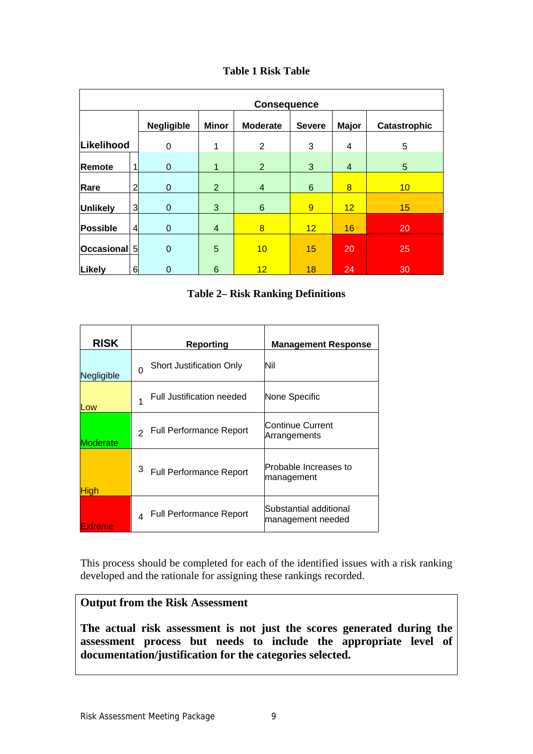## **Table 1 Risk Table**

| <b>Consequence</b> |   |                                                                                                       |                |                |    |                |    |
|--------------------|---|-------------------------------------------------------------------------------------------------------|----------------|----------------|----|----------------|----|
|                    |   | <b>Negligible</b><br><b>Minor</b><br><b>Moderate</b><br><b>Severe</b><br><b>Major</b><br>Catastrophic |                |                |    |                |    |
| Likelihood         |   | 0                                                                                                     | 1              | 2              | 3  | 4              | 5  |
| Remote             |   | $\mathbf 0$                                                                                           | 1              | $\overline{2}$ | 3  | $\overline{4}$ | 5  |
| Rare               | 2 | 0                                                                                                     | $\overline{2}$ | $\overline{4}$ | 6  | 8              | 10 |
| <b>Unlikely</b>    | 3 | $\mathbf 0$                                                                                           | 3              | 6              | 9  | 12             | 15 |
| <b>Possible</b>    | 4 | $\mathbf 0$                                                                                           | 4              | 8              | 12 | 16             | 20 |
| Occasional 5       |   | $\mathbf 0$                                                                                           | 5              | 10             | 15 | 20             | 25 |
| Likely             | 6 | $\mathbf 0$                                                                                           | 6              | 12             | 18 | 24             | 30 |

### **Table 2– Risk Ranking Definitions**

| <b>RISK</b>    | <b>Reporting</b>                                | <b>Management Response</b>                  |
|----------------|-------------------------------------------------|---------------------------------------------|
| Negligible     | <b>Short Justification Only</b><br>$\Omega$     | Nil                                         |
| Low            | Full Justification needed                       | None Specific                               |
| Moderate       | <b>Full Performance Report</b><br>$\mathcal{L}$ | Continue Current<br>Arrangements            |
| <b>High</b>    | <sup>3</sup> Full Performance Report            | Probable Increases to<br>management         |
| <b>Extreme</b> | <b>Full Performance Report</b><br>$\Delta$      | Substantial additional<br>management needed |

This process should be completed for each of the identified issues with a risk ranking developed and the rationale for assigning these rankings recorded.

# **Output from the Risk Assessment**

**The actual risk assessment is not just the scores generated during the assessment process but needs to include the appropriate level of documentation/justification for the categories selected.**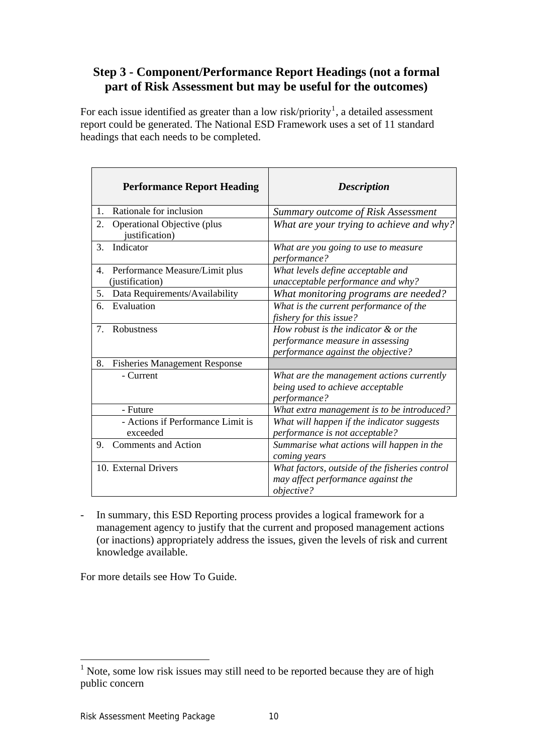# **Step 3 - Component/Performance Report Headings (not a formal part of Risk Assessment but may be useful for the outcomes)**

For each issue identified as greater than a low risk/priority<sup>[1](#page-9-0)</sup>, a detailed assessment report could be generated. The National ESD Framework uses a set of 11 standard headings that each needs to be completed.

| <b>Performance Report Heading</b>                       | <b>Description</b>                                                                                             |
|---------------------------------------------------------|----------------------------------------------------------------------------------------------------------------|
| Rationale for inclusion<br>1.                           | Summary outcome of Risk Assessment                                                                             |
| Operational Objective (plus<br>2.<br>justification)     | What are your trying to achieve and why?                                                                       |
| Indicator<br>3.                                         | What are you going to use to measure<br>performance?                                                           |
| Performance Measure/Limit plus<br>4.<br>(justification) | What levels define acceptable and<br>unacceptable performance and why?                                         |
| Data Requirements/Availability<br>5.                    | What monitoring programs are needed?                                                                           |
| Evaluation<br>6.                                        | What is the current performance of the<br>fishery for this issue?                                              |
| $7_{\scriptscriptstyle{\ddot{\sim}}}$<br>Robustness     | How robust is the indicator & or the<br>performance measure in assessing<br>performance against the objective? |
| 8.<br><b>Fisheries Management Response</b>              |                                                                                                                |
| - Current                                               | What are the management actions currently<br>being used to achieve acceptable<br>performance?                  |
| - Future                                                | What extra management is to be introduced?                                                                     |
| - Actions if Performance Limit is<br>exceeded           | What will happen if the indicator suggests<br>performance is not acceptable?                                   |
| <b>Comments and Action</b><br>9.                        | Summarise what actions will happen in the<br>coming years                                                      |
| 10. External Drivers                                    | What factors, outside of the fisheries control<br>may affect performance against the<br><i>objective?</i>      |

- In summary, this ESD Reporting process provides a logical framework for a management agency to justify that the current and proposed management actions (or inactions) appropriately address the issues, given the levels of risk and current knowledge available.

For more details see How To Guide.

<span id="page-9-0"></span><sup>&</sup>lt;sup>1</sup> Note, some low risk issues may still need to be reported because they are of high public concern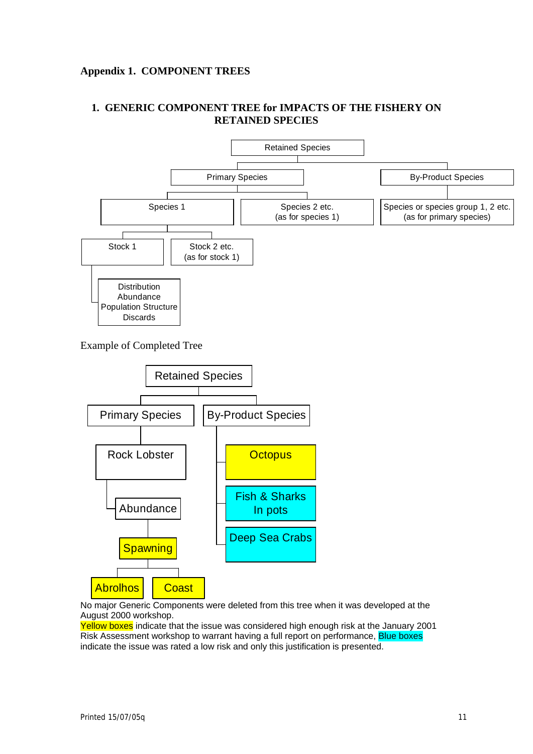# **Appendix 1. COMPONENT TREES**

# **1. GENERIC COMPONENT TREE for IMPACTS OF THE FISHERY ON RETAINED SPECIES**





No major Generic Components were deleted from this tree when it was developed at the August 2000 workshop.

Yellow boxes indicate that the issue was considered high enough risk at the January 2001 Risk Assessment workshop to warrant having a full report on performance, Blue boxes indicate the issue was rated a low risk and only this justification is presented.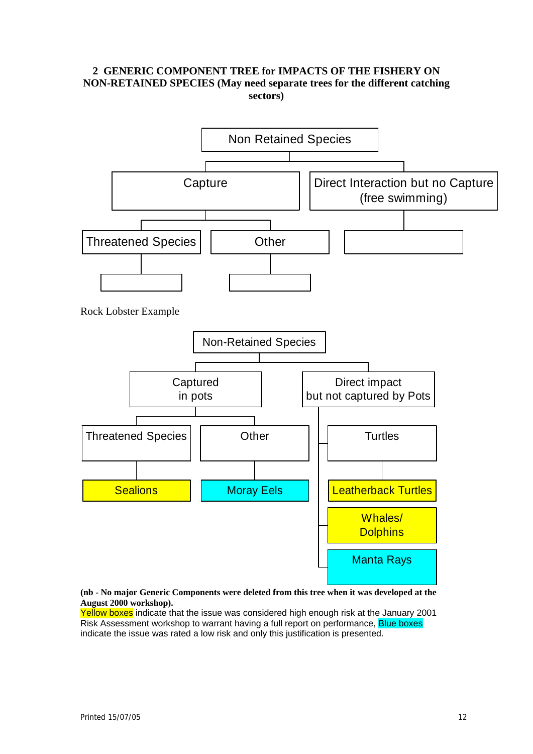#### **2 GENERIC COMPONENT TREE for IMPACTS OF THE FISHERY ON NON-RETAINED SPECIES (May need separate trees for the different catching sectors)**



**(nb - No major Generic Components were deleted from this tree when it was developed at the August 2000 workshop).** 

Yellow boxes indicate that the issue was considered high enough risk at the January 2001 Risk Assessment workshop to warrant having a full report on performance, Blue boxes indicate the issue was rated a low risk and only this justification is presented.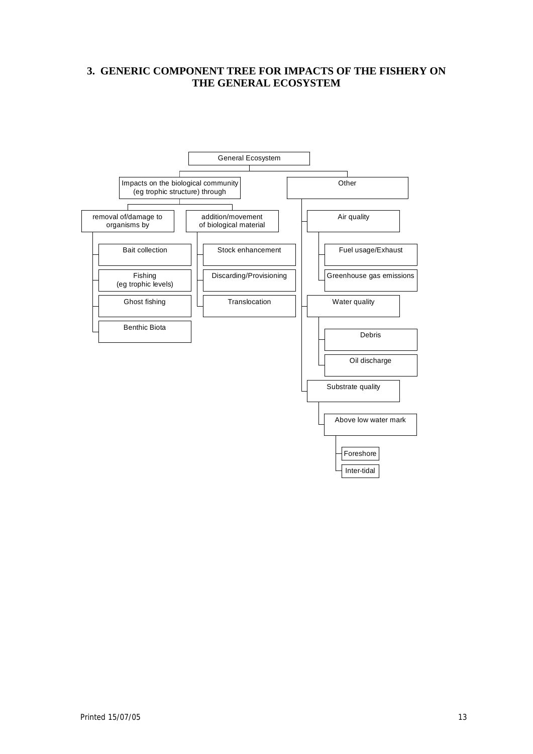#### **3. GENERIC COMPONENT TREE FOR IMPACTS OF THE FISHERY ON THE GENERAL ECOSYSTEM**

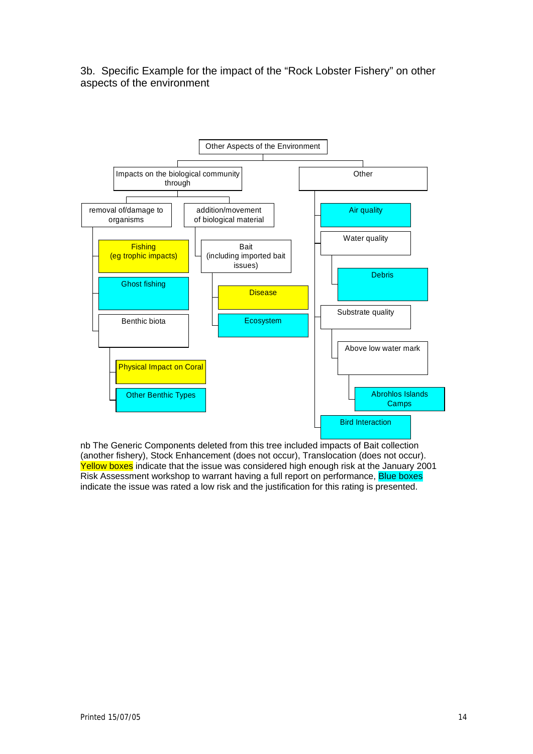3b. Specific Example for the impact of the "Rock Lobster Fishery" on other aspects of the environment



nb The Generic Components deleted from this tree included impacts of Bait collection (another fishery), Stock Enhancement (does not occur), Translocation (does not occur). Yellow boxes indicate that the issue was considered high enough risk at the January 2001 Risk Assessment workshop to warrant having a full report on performance, Blue boxes indicate the issue was rated a low risk and the justification for this rating is presented.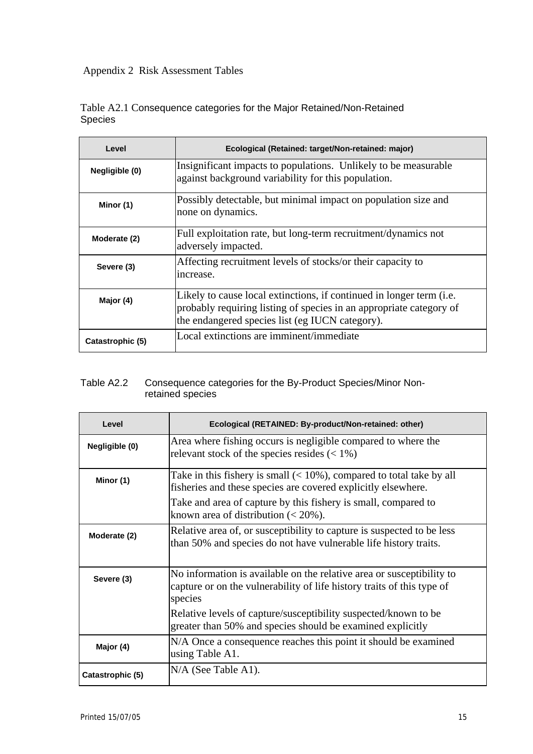# Appendix 2 Risk Assessment Tables

|                |  | Table A2.1 Consequence categories for the Major Retained/Non-Retained |
|----------------|--|-----------------------------------------------------------------------|
| <b>Species</b> |  |                                                                       |

| Level            | Ecological (Retained: target/Non-retained: major)                                                                                                                                                        |
|------------------|----------------------------------------------------------------------------------------------------------------------------------------------------------------------------------------------------------|
| Negligible (0)   | Insignificant impacts to populations. Unlikely to be measurable<br>against background variability for this population.                                                                                   |
| Minor (1)        | Possibly detectable, but minimal impact on population size and<br>none on dynamics.                                                                                                                      |
| Moderate (2)     | Full exploitation rate, but long-term recruitment/dynamics not<br>adversely impacted.                                                                                                                    |
| Severe (3)       | Affecting recruitment levels of stocks/or their capacity to<br>increase.                                                                                                                                 |
| Major (4)        | Likely to cause local extinctions, if continued in longer term ( <i>i.e.</i> )<br>probably requiring listing of species in an appropriate category of<br>the endangered species list (eg IUCN category). |
| Catastrophic (5) | Local extinctions are imminent/immediate                                                                                                                                                                 |

### Table A2.2 Consequence categories for the By-Product Species/Minor Nonretained species

| Level            | Ecological (RETAINED: By-product/Non-retained: other)                                                                                                                                                                                                  |
|------------------|--------------------------------------------------------------------------------------------------------------------------------------------------------------------------------------------------------------------------------------------------------|
| Negligible (0)   | Area where fishing occurs is negligible compared to where the<br>relevant stock of the species resides $(< 1\%)$                                                                                                                                       |
| Minor (1)        | Take in this fishery is small $(< 10\%)$ , compared to total take by all<br>fisheries and these species are covered explicitly elsewhere.<br>Take and area of capture by this fishery is small, compared to<br>known area of distribution $(< 20\%$ ). |
| Moderate (2)     | Relative area of, or susceptibility to capture is suspected to be less<br>than 50% and species do not have vulnerable life history traits.                                                                                                             |
| Severe (3)       | No information is available on the relative area or susceptibility to<br>capture or on the vulnerability of life history traits of this type of<br>species<br>Relative levels of capture/susceptibility suspected/known to be                          |
|                  | greater than 50% and species should be examined explicitly                                                                                                                                                                                             |
| Major (4)        | N/A Once a consequence reaches this point it should be examined<br>using Table A1.                                                                                                                                                                     |
| Catastrophic (5) | $N/A$ (See Table A1).                                                                                                                                                                                                                                  |